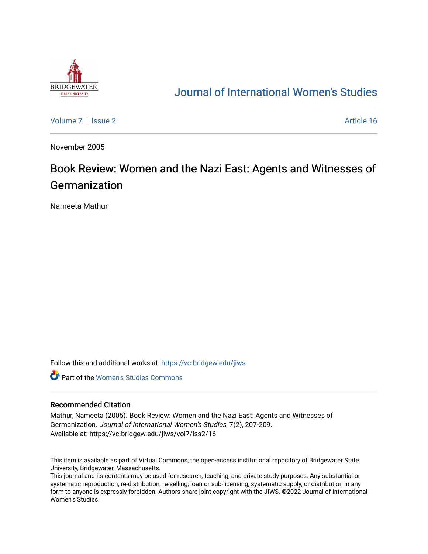

## [Journal of International Women's Studies](https://vc.bridgew.edu/jiws)

[Volume 7](https://vc.bridgew.edu/jiws/vol7) | [Issue 2](https://vc.bridgew.edu/jiws/vol7/iss2) Article 16

November 2005

## Book Review: Women and the Nazi East: Agents and Witnesses of **Germanization**

Nameeta Mathur

Follow this and additional works at: [https://vc.bridgew.edu/jiws](https://vc.bridgew.edu/jiws?utm_source=vc.bridgew.edu%2Fjiws%2Fvol7%2Fiss2%2F16&utm_medium=PDF&utm_campaign=PDFCoverPages)

**C** Part of the Women's Studies Commons

## Recommended Citation

Mathur, Nameeta (2005). Book Review: Women and the Nazi East: Agents and Witnesses of Germanization. Journal of International Women's Studies, 7(2), 207-209. Available at: https://vc.bridgew.edu/jiws/vol7/iss2/16

This item is available as part of Virtual Commons, the open-access institutional repository of Bridgewater State University, Bridgewater, Massachusetts.

This journal and its contents may be used for research, teaching, and private study purposes. Any substantial or systematic reproduction, re-distribution, re-selling, loan or sub-licensing, systematic supply, or distribution in any form to anyone is expressly forbidden. Authors share joint copyright with the JIWS. ©2022 Journal of International Women's Studies.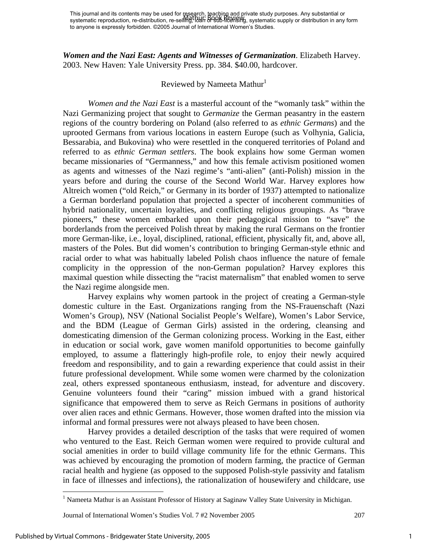This journal and its contents may be used for research, teaching and private study purposes. Any substantial or systematic reproduction, re-distribution, re-selli<del>Yig</del>, Io<del>uh or sub-licel</del>1ਙïYg, systematic supply or distribution in any form to anyone is expressly forbidden. ©2005 Journal of International Women's Studies. Mathur: Book Review

*Women and the Nazi East: Agents and Witnesses of Germanization*. Elizabeth Harvey. 2003. New Haven: Yale University Press. pp. 384. \$40.00, hardcover.

## Reviewed by Nameeta Mathur<sup>1</sup>

 *Women and the Nazi East* is a masterful account of the "womanly task" within the Nazi Germanizing project that sought to *Germanize* the German peasantry in the eastern regions of the country bordering on Poland (also referred to as *ethnic Germans*) and the uprooted Germans from various locations in eastern Europe (such as Volhynia, Galicia, Bessarabia, and Bukovina) who were resettled in the conquered territories of Poland and referred to as *ethnic German settlers*. The book explains how some German women became missionaries of "Germanness," and how this female activism positioned women as agents and witnesses of the Nazi regime's "anti-alien" (anti-Polish) mission in the years before and during the course of the Second World War. Harvey explores how Altreich women ("old Reich," or Germany in its border of 1937) attempted to nationalize a German borderland population that projected a specter of incoherent communities of hybrid nationality, uncertain loyalties, and conflicting religious groupings. As "brave pioneers," these women embarked upon their pedagogical mission to "save" the borderlands from the perceived Polish threat by making the rural Germans on the frontier more German-like, i.e., loyal, disciplined, rational, efficient, physically fit, and, above all, masters of the Poles. But did women's contribution to bringing German-style ethnic and racial order to what was habitually labeled Polish chaos influence the nature of female complicity in the oppression of the non-German population? Harvey explores this maximal question while dissecting the "racist maternalism" that enabled women to serve the Nazi regime alongside men.

 Harvey explains why women partook in the project of creating a German-style domestic culture in the East. Organizations ranging from the NS-Frauenschaft (Nazi Women's Group), NSV (National Socialist People's Welfare), Women's Labor Service, and the BDM (League of German Girls) assisted in the ordering, cleansing and domesticating dimension of the German colonizing process. Working in the East, either in education or social work, gave women manifold opportunities to become gainfully employed, to assume a flatteringly high-profile role, to enjoy their newly acquired freedom and responsibility, and to gain a rewarding experience that could assist in their future professional development. While some women were charmed by the colonization zeal, others expressed spontaneous enthusiasm, instead, for adventure and discovery. Genuine volunteers found their "caring" mission imbued with a grand historical significance that empowered them to serve as Reich Germans in positions of authority over alien races and ethnic Germans. However, those women drafted into the mission via informal and formal pressures were not always pleased to have been chosen.

 Harvey provides a detailed description of the tasks that were required of women who ventured to the East. Reich German women were required to provide cultural and social amenities in order to build village community life for the ethnic Germans. This was achieved by encouraging the promotion of modern farming, the practice of German racial health and hygiene (as opposed to the supposed Polish-style passivity and fatalism in face of illnesses and infections), the rationalization of housewifery and childcare, use

 $\overline{a}$ 

<sup>&</sup>lt;sup>1</sup> Nameeta Mathur is an Assistant Professor of History at Saginaw Valley State University in Michigan.

Journal of International Women's Studies Vol. 7 #2 November 2005 207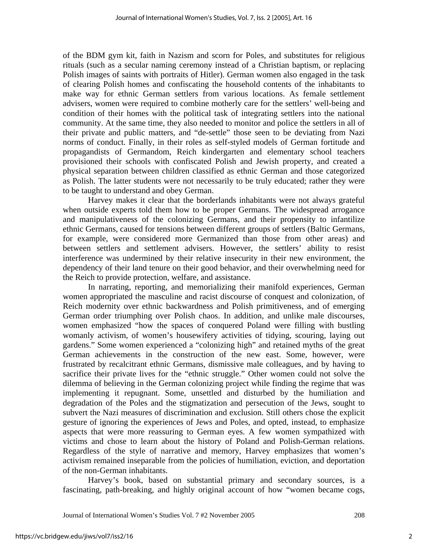of the BDM gym kit, faith in Nazism and scorn for Poles, and substitutes for religious rituals (such as a secular naming ceremony instead of a Christian baptism, or replacing Polish images of saints with portraits of Hitler). German women also engaged in the task of clearing Polish homes and confiscating the household contents of the inhabitants to make way for ethnic German settlers from various locations. As female settlement advisers, women were required to combine motherly care for the settlers' well-being and condition of their homes with the political task of integrating settlers into the national community. At the same time, they also needed to monitor and police the settlers in all of their private and public matters, and "de-settle" those seen to be deviating from Nazi norms of conduct. Finally, in their roles as self-styled models of German fortitude and propagandists of Germandom, Reich kindergarten and elementary school teachers provisioned their schools with confiscated Polish and Jewish property, and created a physical separation between children classified as ethnic German and those categorized as Polish. The latter students were not necessarily to be truly educated; rather they were to be taught to understand and obey German.

 Harvey makes it clear that the borderlands inhabitants were not always grateful when outside experts told them how to be proper Germans. The widespread arrogance and manipulativeness of the colonizing Germans, and their propensity to infantilize ethnic Germans, caused for tensions between different groups of settlers (Baltic Germans, for example, were considered more Germanized than those from other areas) and between settlers and settlement advisers. However, the settlers' ability to resist interference was undermined by their relative insecurity in their new environment, the dependency of their land tenure on their good behavior, and their overwhelming need for the Reich to provide protection, welfare, and assistance.

 In narrating, reporting, and memorializing their manifold experiences, German women appropriated the masculine and racist discourse of conquest and colonization, of Reich modernity over ethnic backwardness and Polish primitiveness, and of emerging German order triumphing over Polish chaos. In addition, and unlike male discourses, women emphasized "how the spaces of conquered Poland were filling with bustling womanly activism, of women's housewifery activities of tidying, scouring, laying out gardens." Some women experienced a "colonizing high" and retained myths of the great German achievements in the construction of the new east. Some, however, were frustrated by recalcitrant ethnic Germans, dismissive male colleagues, and by having to sacrifice their private lives for the "ethnic struggle." Other women could not solve the dilemma of believing in the German colonizing project while finding the regime that was implementing it repugnant. Some, unsettled and disturbed by the humiliation and degradation of the Poles and the stigmatization and persecution of the Jews, sought to subvert the Nazi measures of discrimination and exclusion. Still others chose the explicit gesture of ignoring the experiences of Jews and Poles, and opted, instead, to emphasize aspects that were more reassuring to German eyes. A few women sympathized with victims and chose to learn about the history of Poland and Polish-German relations. Regardless of the style of narrative and memory, Harvey emphasizes that women's activism remained inseparable from the policies of humiliation, eviction, and deportation of the non-German inhabitants.

 Harvey's book, based on substantial primary and secondary sources, is a fascinating, path-breaking, and highly original account of how "women became cogs,